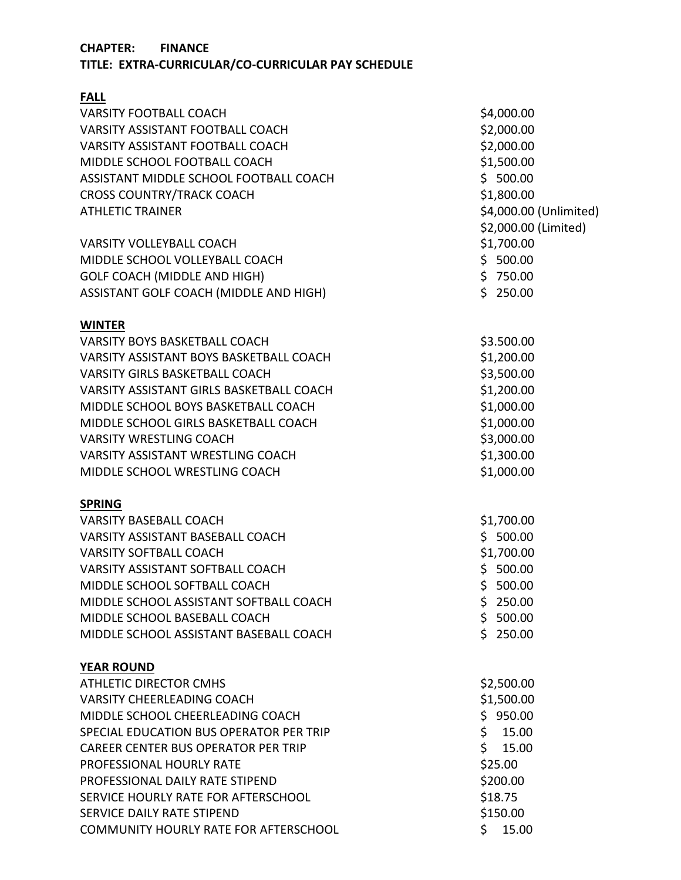## **CHAPTER: FINANCE**

**TITLE: EXTRA-CURRICULAR/CO-CURRICULAR PAY SCHEDULE**

| <b>FALL</b>                                |                        |
|--------------------------------------------|------------------------|
| <b>VARSITY FOOTBALL COACH</b>              | \$4,000.00             |
| VARSITY ASSISTANT FOOTBALL COACH           | \$2,000.00             |
| VARSITY ASSISTANT FOOTBALL COACH           | \$2,000.00             |
| MIDDLE SCHOOL FOOTBALL COACH               | \$1,500.00             |
| ASSISTANT MIDDLE SCHOOL FOOTBALL COACH     | \$500.00               |
| <b>CROSS COUNTRY/TRACK COACH</b>           | \$1,800.00             |
| <b>ATHLETIC TRAINER</b>                    | \$4,000.00 (Unlimited) |
|                                            | \$2,000.00 (Limited)   |
| <b>VARSITY VOLLEYBALL COACH</b>            | \$1,700.00             |
| MIDDLE SCHOOL VOLLEYBALL COACH             | \$500.00               |
| <b>GOLF COACH (MIDDLE AND HIGH)</b>        | \$750.00               |
| ASSISTANT GOLF COACH (MIDDLE AND HIGH)     | \$250.00               |
| <b>WINTER</b>                              |                        |
| <b>VARSITY BOYS BASKETBALL COACH</b>       | \$3.500.00             |
| VARSITY ASSISTANT BOYS BASKETBALL COACH    | \$1,200.00             |
| <b>VARSITY GIRLS BASKETBALL COACH</b>      | \$3,500.00             |
| VARSITY ASSISTANT GIRLS BASKETBALL COACH   | \$1,200.00             |
| MIDDLE SCHOOL BOYS BASKETBALL COACH        | \$1,000.00             |
| MIDDLE SCHOOL GIRLS BASKETBALL COACH       | \$1,000.00             |
| <b>VARSITY WRESTLING COACH</b>             | \$3,000.00             |
| <b>VARSITY ASSISTANT WRESTLING COACH</b>   | \$1,300.00             |
| MIDDLE SCHOOL WRESTLING COACH              | \$1,000.00             |
| <b>SPRING</b>                              |                        |
| <b>VARSITY BASEBALL COACH</b>              | \$1,700.00             |
| <b>VARSITY ASSISTANT BASEBALL COACH</b>    | \$500.00               |
| <b>VARSITY SOFTBALL COACH</b>              | \$1,700.00             |
| <b>VARSITY ASSISTANT SOFTBALL COACH</b>    | \$500.00               |
| MIDDLE SCHOOL SOFTBALL COACH               | \$500.00               |
| MIDDLE SCHOOL ASSISTANT SOFTBALL COACH     | \$250.00               |
| MIDDLE SCHOOL BASEBALL COACH               | \$500.00               |
| MIDDLE SCHOOL ASSISTANT BASEBALL COACH     | \$250.00               |
| <b>YEAR ROUND</b>                          |                        |
| <b>ATHLETIC DIRECTOR CMHS</b>              | \$2,500.00             |
| <b>VARSITY CHEERLEADING COACH</b>          | \$1,500.00             |
| MIDDLE SCHOOL CHEERLEADING COACH           | \$950.00               |
| SPECIAL EDUCATION BUS OPERATOR PER TRIP    | \$15.00                |
| <b>CAREER CENTER BUS OPERATOR PER TRIP</b> | \$15.00                |
| PROFESSIONAL HOURLY RATE                   | \$25.00                |
| PROFESSIONAL DAILY RATE STIPEND            | \$200.00               |
| SERVICE HOURLY RATE FOR AFTERSCHOOL        | \$18.75                |
| <b>SERVICE DAILY RATE STIPEND</b>          | \$150.00               |
| COMMUNITY HOURLY RATE FOR AFTERSCHOOL      | Ś.<br>15.00            |